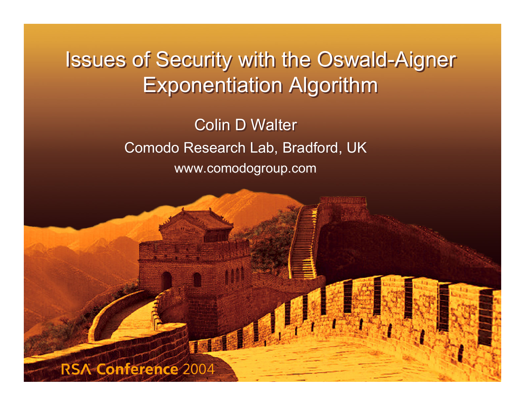Issues of Security with the Oswald-Aigner Issues of Security with the Oswald-Aigner Exponentiation Algorithm Exponentiation Algorithm

> Colin D Walter Comodo Research Lab, Bradford, UK Comodo Research Lab, Bradford, UK www.comodogroup.com www.comodogroup.com

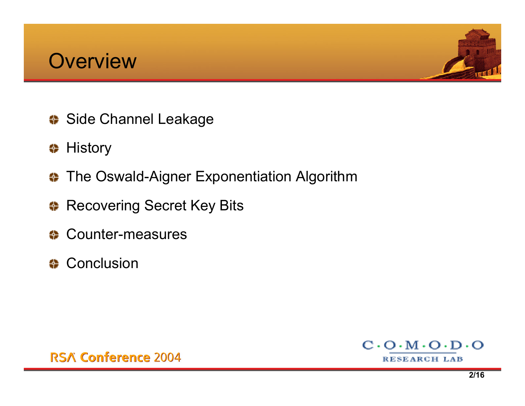



- **Side Channel Leakage**
- **# History**
- $\bullet$  The Oswald-Aigner Exponentiation Algorithm
- Recovering Secret Key Bits
- **Counter-measures**
- **← Conclusion**



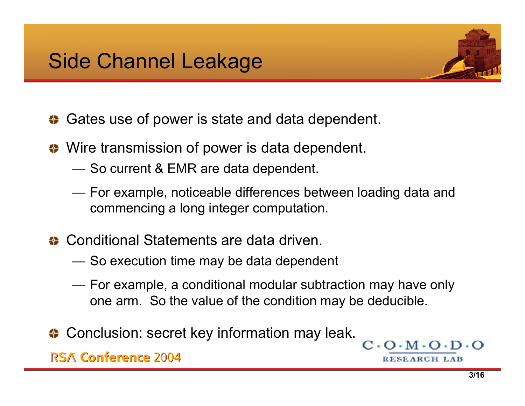

- **♦ Gates use of power is state and data dependent.**
- ♦ Wire transmission of power is data dependent.
	- $\rule{1em}{0.15mm}$  So current & EMR are data dependent.
	- For example, noticeable differences between loading data and commencing a long integer computation.
- Conditional Statements are data driven.
	- $\hspace{0.1em}$  So execution time may be data dependent
	- $\longrightarrow$  For example, a conditional modular subtraction may have only one arm. So the value of the condition may be deducible.
- ♦ Conclusion: secret key information may leak.

**RSA Conference 2004** 

 $C \cdot O \cdot M \cdot O$ 

RESEARCH LAB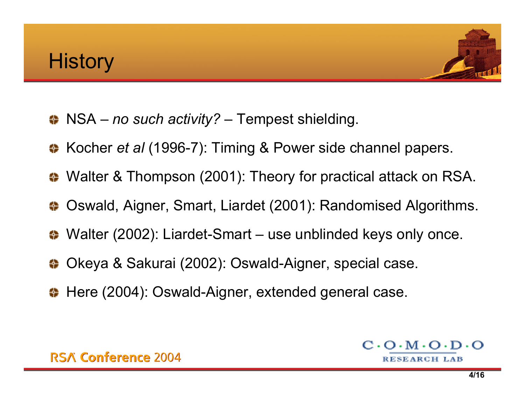

- NSA *no such activity?* Tempest shielding.
- **← Kocher** *et al* **(1996-7): Timing & Power side channel papers.**
- ◆ Walter & Thompson (2001): Theory for practical attack on RSA.
- ♦ Oswald, Aigner, Smart, Liardet (2001): Randomised Algorithms.
- Walter (2002): Liardet-Smart use unblinded keys only once.
- Okeya & Sakurai (2002): Oswald-Aigner, special case.
- ← Here (2004): Oswald-Aigner, extended general case.

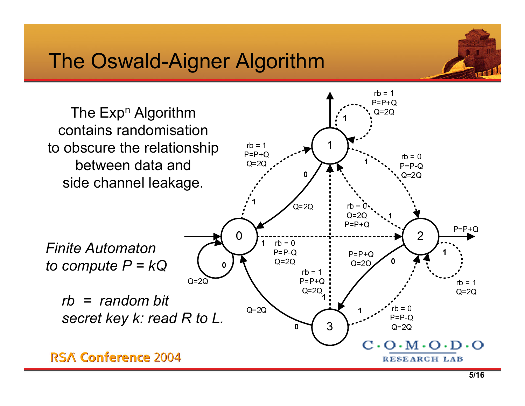## The Oswald-Aigner Algorithm



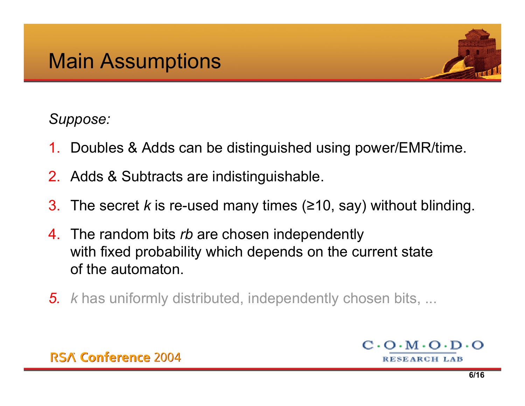

## *Suppose:*

- 1. Doubles & Adds can be distinguished using power/EMR/time.
- 2. Adds & Subtracts are indistinguishable.
- 3. The secret *k* is re-used many times ( <sup>≥</sup>10, say) without blinding.
- 4. The random bits *rb* are chosen independently with fixed probability which depends on the current state of the automaton.
- *5. k* has uniformly distributed, independently chosen bits, ...

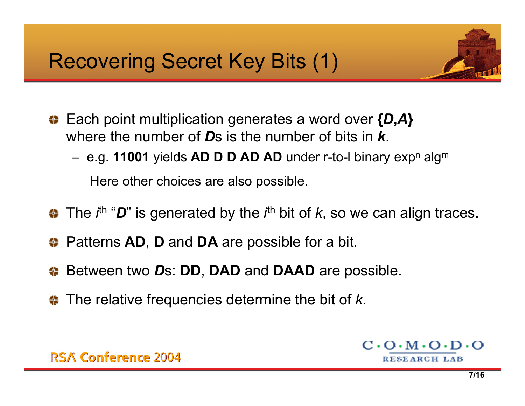## Recovering Secret Key Bits (1)



- Each point multiplication generates a word over **{** *D***,***A* **}** where the number of *D*s is the number of bits in *k*.
	- –e.g. **11001** yields **AD D D AD AD** under r-to-I binary expʰ algʷ

Here other choic es are also possible.

- The *i*th ""*D*" is generated by the *i*<sup>th</sup> bit of *k*, so we can align traces.
- Patterns **AD**, **D** and **DA** are possible for a bit.
- Between two *D*s: **DD**, **DAD** and **DAAD** are possible.
- The relative frequencies determine the bit of *k*.

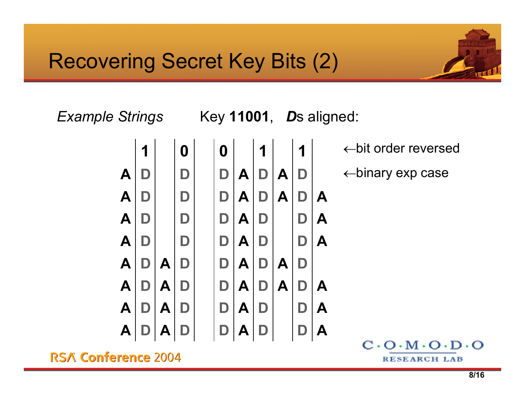

*Example Strings* 

*D*s aligned:



 $\leftarrow$ bit order reversed

← binary exp c a s e

**RSA Conference 2004** 

 $C \cdot O \cdot M \cdot O \cdot D \cdot O$ **RESEARCH LAB**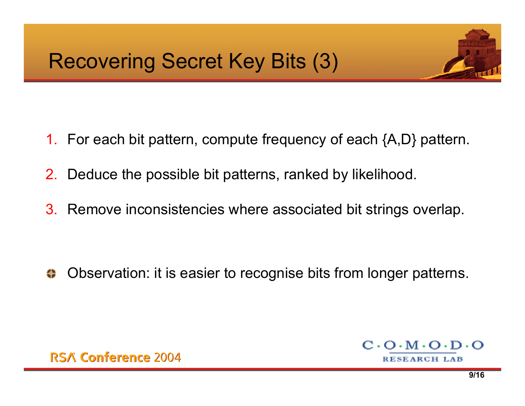

- 1. For each bit pattern, compute frequency of each {A,D} pattern.
- 2. Deduce the possible bit patterns, ranked by likelihood.
- 3. Remove inconsistencies where associated bit strings overlap.

Observation: it is easier to recognise bits from longer patterns.4

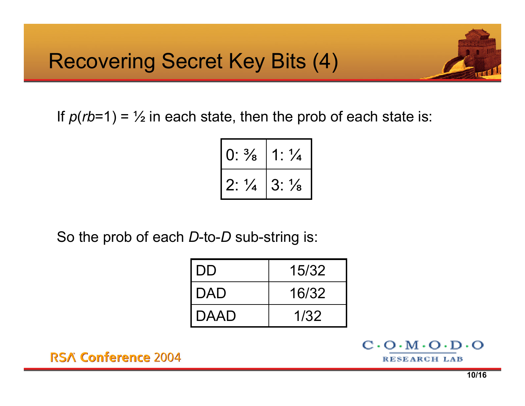

If *p* (*rb*=1) = ½ in each state, then the prob of each state is:

| $0: \frac{3}{8}$ | $1: \frac{1}{4}$ |
|------------------|------------------|
| $2: \frac{1}{4}$ | $3: \frac{1}{8}$ |

So the prob of each *D*-to-*D* sub-string is:

| l DD   | 15/32 |
|--------|-------|
| I DAD  | 16/32 |
| I DAAD | 1/32  |

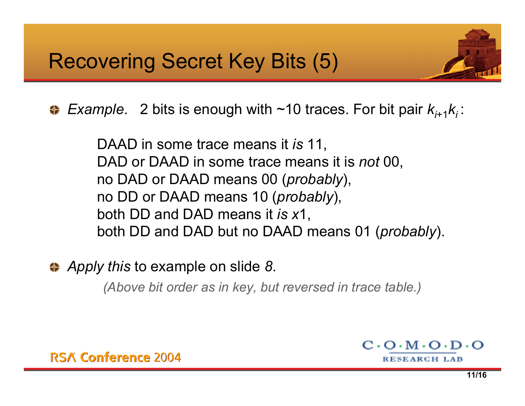*Example*. 2 bits is enough with ~10 traces. For bit pair  $k_{i+1}k_i$ :

DAAD in some trace means it *is* 11, DAD or DAAD in some trace means it is *not* 00, no DAD or DAAD means 00 (*probably*), no DD or DAAD means 10 (*probably*), both DD and DAD means it *is <sup>x</sup>*1, both DD and DAD but no DAAD means 01 (*probably*).

*Apply this* to example on slide *8*.

*(Above bit order as in key, but reversed in trace table.)*

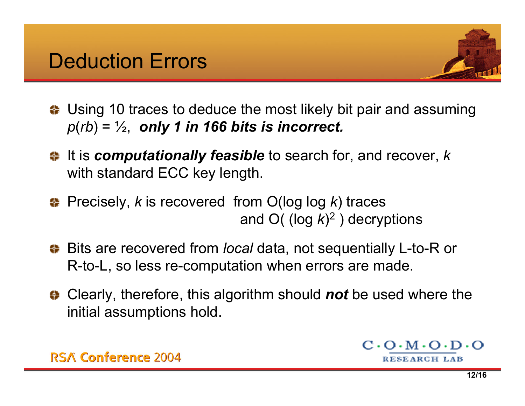

- ♦ Using 10 traces to deduce the most likely bit pair and assuming *p* (*rb*) = ½, *only 1 in 166 bits is incorrect.*
- It is *computationally feasible* to search for, and recover, *k* with standard ECC key length.
- Precisely, *k* is recovered from O(log log *k*) traces and O( (log *k* ) 2 ) decryptions
- Bits are recovered from *local* data, not sequentially L-to-R or R-to-L, so less re-computation when errors are made.
- Clearly, therefore, this algorithm should *not* be used where the initial assumptions hold.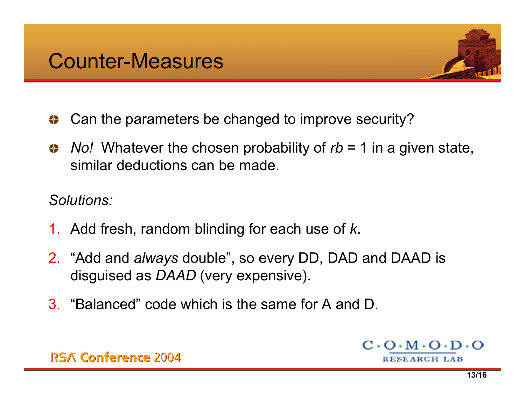

- Can the parameters be changed to improve security? ⇔
- *No!* Whatever the chosen probability of *rb* = 1 in a given state, similar deductions can be made.

*Solutions:*

- 1. Add fresh, random blinding for each use of *k*.
- 2. "Add and *always* double", so every DD, DAD and DAAD is disguised as *DAAD* (very expensive).
- 3. "Balanced" code which is the same for A and D.

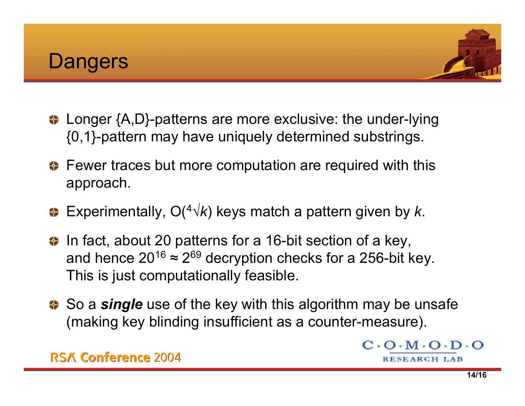



- **♦ Longer {A,D}-patterns are more exclusive: the under-lying** {0,1}-pattern may have uniquely determined substrings.
- $\bullet$  **Fewer traces but more computation are required with this** approach.
- Experimentally, O(4√*k*) keys match a pattern given by *k*.
- **↓** In fact, about 20 patterns for a 16-bit section of a key, and hence 20 $^{16}$  ≈ 2 $^{69}$  decryption checks for a 256-bit key. This is just computationally feasible.
- **♦ So a single** use of the key with this algorithm may be unsafe (making key blinding insufficient as a counter-measure).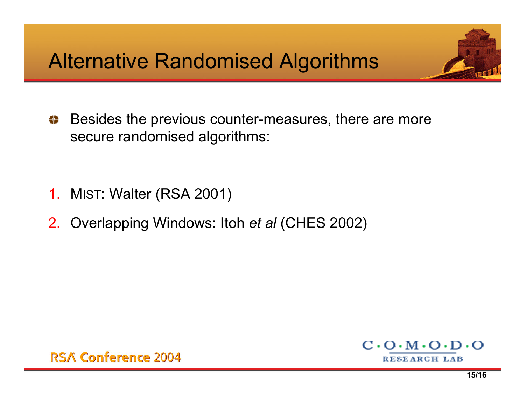Besides the previous counter-measures, there are more 49 secure randomised algorithms:

- 1. MIST: Walter (RSA 2001)
- 2. Overlapping Windows: Itoh *et al* (CHES 2002)



 $C \cdot O \cdot M \cdot O \cdot D \cdot O$ 

RESEARCH LAB